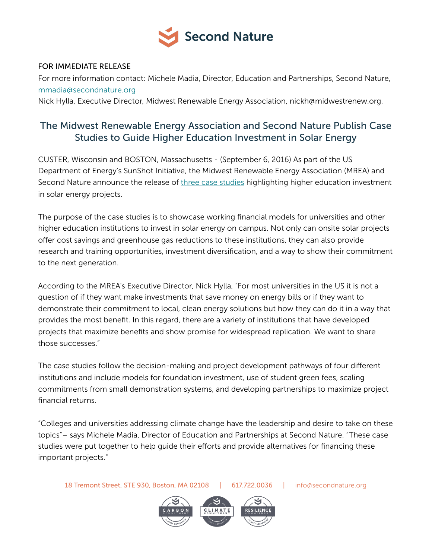

## FOR IMMEDIATE RELEASE

For more information contact: Michele Madia, Director, Education and Partnerships, Second Nature, [mmadia@secondnature.org](mailto:mmadia@secondnature.org)

Nick Hylla, Executive Director, Midwest Renewable Energy Association, nickh@midwestrenew.org.

## The Midwest Renewable Energy Association and Second Nature Publish Case Studies to Guide Higher Education Investment in Solar Energy

CUSTER, Wisconsin and BOSTON, Massachusetts - (September 6, 2016) As part of the US Department of Energy's SunShot Initiative, the Midwest Renewable Energy Association (MREA) and Second Nature announce the release of [three case studies](http://secondnature.org/publication_category/case-study/) highlighting higher education investment in solar energy projects.

The purpose of the case studies is to showcase working financial models for universities and other higher education institutions to invest in solar energy on campus. Not only can onsite solar projects offer cost savings and greenhouse gas reductions to these institutions, they can also provide research and training opportunities, investment diversification, and a way to show their commitment to the next generation.

According to the MREA's Executive Director, Nick Hylla, "For most universities in the US it is not a question of if they want make investments that save money on energy bills or if they want to demonstrate their commitment to local, clean energy solutions but how they can do it in a way that provides the most benefit. In this regard, there are a variety of institutions that have developed projects that maximize benefits and show promise for widespread replication. We want to share those successes."

The case studies follow the decision-making and project development pathways of four different institutions and include models for foundation investment, use of student green fees, scaling commitments from small demonstration systems, and developing partnerships to maximize project financial returns.

"Colleges and universities addressing climate change have the leadership and desire to take on these topics"– says Michele Madia, Director of Education and Partnerships at Second Nature. "These case studies were put together to help guide their efforts and provide alternatives for financing these important projects."

18 Tremont Street, STE 930, Boston, MA 02108 | 617.722.0036 | [info@secondnature.org](mailto:info@secondnature.org)